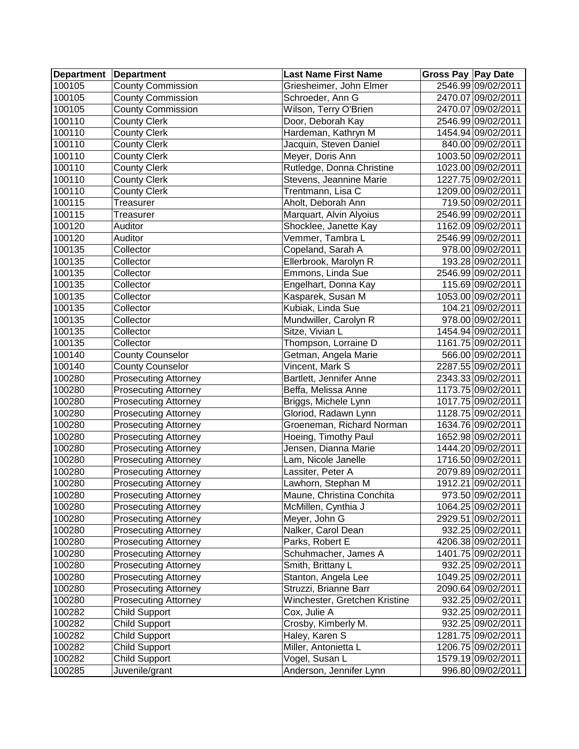| <b>Department Department</b> |                             | <b>Last Name First Name</b>   | Gross Pay Pay Date |                    |
|------------------------------|-----------------------------|-------------------------------|--------------------|--------------------|
| 100105                       | <b>County Commission</b>    | Griesheimer, John Elmer       |                    | 2546.99 09/02/2011 |
| 100105                       | <b>County Commission</b>    | Schroeder, Ann G              |                    | 2470.07 09/02/2011 |
| 100105                       | <b>County Commission</b>    | Wilson, Terry O'Brien         |                    | 2470.07 09/02/2011 |
| 100110                       | <b>County Clerk</b>         | Door, Deborah Kay             |                    | 2546.99 09/02/2011 |
| 100110                       | <b>County Clerk</b>         | Hardeman, Kathryn M           |                    | 1454.94 09/02/2011 |
| 100110                       | <b>County Clerk</b>         | Jacquin, Steven Daniel        |                    | 840.00 09/02/2011  |
| 100110                       | <b>County Clerk</b>         | Meyer, Doris Ann              |                    | 1003.50 09/02/2011 |
| 100110                       | <b>County Clerk</b>         | Rutledge, Donna Christine     |                    | 1023.00 09/02/2011 |
| 100110                       | <b>County Clerk</b>         | Stevens, Jeannine Marie       |                    | 1227.75 09/02/2011 |
| 100110                       | <b>County Clerk</b>         | Trentmann, Lisa C             |                    | 1209.00 09/02/2011 |
| 100115                       | Treasurer                   | Aholt, Deborah Ann            |                    | 719.50 09/02/2011  |
| 100115                       | Treasurer                   | Marquart, Alvin Alyoius       |                    | 2546.99 09/02/2011 |
| 100120                       | Auditor                     | Shocklee, Janette Kay         |                    | 1162.09 09/02/2011 |
| 100120                       | Auditor                     | Vemmer, Tambra L              |                    | 2546.99 09/02/2011 |
| 100135                       | Collector                   | Copeland, Sarah A             |                    | 978.00 09/02/2011  |
| 100135                       | Collector                   | Ellerbrook, Marolyn R         |                    | 193.28 09/02/2011  |
| 100135                       | Collector                   | Emmons, Linda Sue             |                    | 2546.99 09/02/2011 |
| 100135                       | Collector                   | Engelhart, Donna Kay          |                    | 115.69 09/02/2011  |
| 100135                       | Collector                   | Kasparek, Susan M             |                    | 1053.00 09/02/2011 |
| 100135                       | Collector                   | Kubiak, Linda Sue             |                    | 104.21 09/02/2011  |
| 100135                       | Collector                   | Mundwiller, Carolyn R         |                    | 978.00 09/02/2011  |
| 100135                       | Collector                   | Sitze, Vivian L               |                    | 1454.94 09/02/2011 |
| 100135                       | Collector                   | Thompson, Lorraine D          |                    | 1161.75 09/02/2011 |
| 100140                       | <b>County Counselor</b>     | Getman, Angela Marie          |                    | 566.00 09/02/2011  |
| 100140                       | <b>County Counselor</b>     | Vincent, Mark S               |                    | 2287.55 09/02/2011 |
| 100280                       | <b>Prosecuting Attorney</b> | Bartlett, Jennifer Anne       |                    | 2343.33 09/02/2011 |
| 100280                       | <b>Prosecuting Attorney</b> | Beffa, Melissa Anne           |                    | 1173.75 09/02/2011 |
| 100280                       | <b>Prosecuting Attorney</b> | Briggs, Michele Lynn          |                    | 1017.75 09/02/2011 |
| 100280                       | <b>Prosecuting Attorney</b> | Gloriod, Radawn Lynn          |                    | 1128.75 09/02/2011 |
| 100280                       | <b>Prosecuting Attorney</b> | Groeneman, Richard Norman     |                    | 1634.76 09/02/2011 |
| 100280                       | <b>Prosecuting Attorney</b> | Hoeing, Timothy Paul          |                    | 1652.98 09/02/2011 |
| 100280                       | <b>Prosecuting Attorney</b> | Jensen, Dianna Marie          |                    | 1444.20 09/02/2011 |
| 100280                       | <b>Prosecuting Attorney</b> | Lam, Nicole Janelle           |                    | 1716.50 09/02/2011 |
| 100280                       | <b>Prosecuting Attorney</b> | Lassiter, Peter A             |                    | 2079.89 09/02/2011 |
| 100280                       | <b>Prosecuting Attorney</b> | Lawhorn, Stephan M            |                    | 1912.21 09/02/2011 |
| 100280                       | <b>Prosecuting Attorney</b> | Maune, Christina Conchita     |                    | 973.50 09/02/2011  |
| 100280                       | <b>Prosecuting Attorney</b> | McMillen, Cynthia J           |                    | 1064.25 09/02/2011 |
| 100280                       | <b>Prosecuting Attorney</b> | Meyer, John G                 |                    | 2929.51 09/02/2011 |
| 100280                       | <b>Prosecuting Attorney</b> | Nalker, Carol Dean            |                    | 932.25 09/02/2011  |
| 100280                       | <b>Prosecuting Attorney</b> | Parks, Robert E               |                    | 4206.38 09/02/2011 |
| 100280                       | <b>Prosecuting Attorney</b> | Schuhmacher, James A          |                    | 1401.75 09/02/2011 |
| 100280                       | <b>Prosecuting Attorney</b> | Smith, Brittany L             |                    | 932.25 09/02/2011  |
| 100280                       | <b>Prosecuting Attorney</b> | Stanton, Angela Lee           |                    | 1049.25 09/02/2011 |
| 100280                       | <b>Prosecuting Attorney</b> | Struzzi, Brianne Barr         |                    | 2090.64 09/02/2011 |
| 100280                       | <b>Prosecuting Attorney</b> | Winchester, Gretchen Kristine |                    | 932.25 09/02/2011  |
| 100282                       | Child Support               | Cox, Julie A                  |                    | 932.25 09/02/2011  |
| 100282                       | Child Support               | Crosby, Kimberly M.           |                    | 932.25 09/02/2011  |
| 100282                       | Child Support               | Haley, Karen S                |                    | 1281.75 09/02/2011 |
| 100282                       | Child Support               | Miller, Antonietta L          |                    | 1206.75 09/02/2011 |
| 100282                       | Child Support               | Vogel, Susan L                |                    | 1579.19 09/02/2011 |
| 100285                       | Juvenile/grant              | Anderson, Jennifer Lynn       |                    | 996.80 09/02/2011  |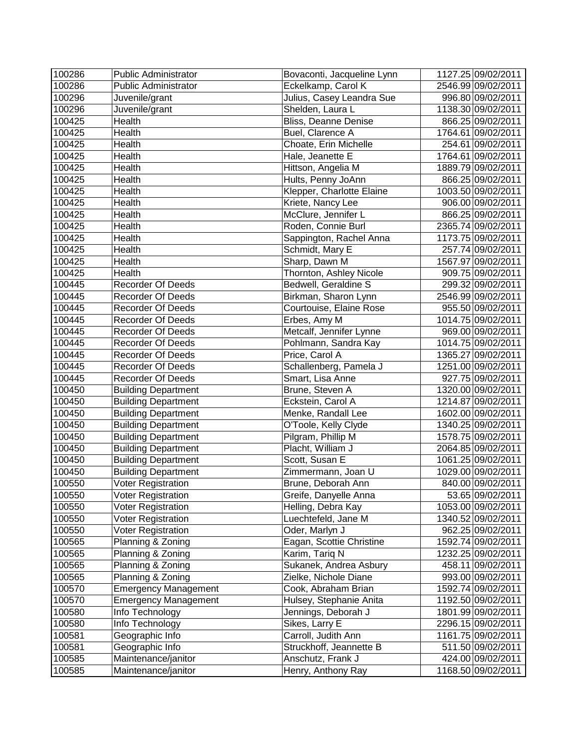| 100286 | <b>Public Administrator</b> | Bovaconti, Jacqueline Lynn | 1127.25 09/02/2011 |
|--------|-----------------------------|----------------------------|--------------------|
| 100286 | <b>Public Administrator</b> | Eckelkamp, Carol K         | 2546.99 09/02/2011 |
| 100296 | Juvenile/grant              | Julius, Casey Leandra Sue  | 996.80 09/02/2011  |
| 100296 | Juvenile/grant              | Shelden, Laura L           | 1138.30 09/02/2011 |
| 100425 | Health                      | Bliss, Deanne Denise       | 866.25 09/02/2011  |
| 100425 | Health                      | Buel, Clarence A           | 1764.61 09/02/2011 |
| 100425 | Health                      | Choate, Erin Michelle      | 254.61 09/02/2011  |
| 100425 | Health                      | Hale, Jeanette E           | 1764.61 09/02/2011 |
| 100425 | Health                      | Hittson, Angelia M         | 1889.79 09/02/2011 |
| 100425 | Health                      | Hults, Penny JoAnn         | 866.25 09/02/2011  |
| 100425 | Health                      | Klepper, Charlotte Elaine  | 1003.50 09/02/2011 |
| 100425 | Health                      | Kriete, Nancy Lee          | 906.00 09/02/2011  |
| 100425 | Health                      | McClure, Jennifer L        | 866.25 09/02/2011  |
| 100425 | Health                      | Roden, Connie Burl         | 2365.74 09/02/2011 |
| 100425 | Health                      | Sappington, Rachel Anna    | 1173.75 09/02/2011 |
| 100425 | Health                      | Schmidt, Mary E            | 257.74 09/02/2011  |
| 100425 | Health                      | Sharp, Dawn M              | 1567.97 09/02/2011 |
| 100425 | Health                      | Thornton, Ashley Nicole    | 909.75 09/02/2011  |
| 100445 | <b>Recorder Of Deeds</b>    | Bedwell, Geraldine S       | 299.32 09/02/2011  |
| 100445 | <b>Recorder Of Deeds</b>    | Birkman, Sharon Lynn       | 2546.99 09/02/2011 |
| 100445 | <b>Recorder Of Deeds</b>    | Courtouise, Elaine Rose    | 955.50 09/02/2011  |
| 100445 | <b>Recorder Of Deeds</b>    | Erbes, Amy M               | 1014.75 09/02/2011 |
| 100445 | <b>Recorder Of Deeds</b>    | Metcalf, Jennifer Lynne    | 969.00 09/02/2011  |
| 100445 | Recorder Of Deeds           | Pohlmann, Sandra Kay       | 1014.75 09/02/2011 |
| 100445 | <b>Recorder Of Deeds</b>    | Price, Carol A             | 1365.27 09/02/2011 |
| 100445 | <b>Recorder Of Deeds</b>    | Schallenberg, Pamela J     | 1251.00 09/02/2011 |
| 100445 | Recorder Of Deeds           | Smart, Lisa Anne           | 927.75 09/02/2011  |
| 100450 | <b>Building Department</b>  | Brune, Steven A            | 1320.00 09/02/2011 |
| 100450 | <b>Building Department</b>  | Eckstein, Carol A          | 1214.87 09/02/2011 |
| 100450 | <b>Building Department</b>  | Menke, Randall Lee         | 1602.00 09/02/2011 |
| 100450 | <b>Building Department</b>  | O'Toole, Kelly Clyde       | 1340.25 09/02/2011 |
| 100450 | <b>Building Department</b>  | Pilgram, Phillip M         | 1578.75 09/02/2011 |
| 100450 | <b>Building Department</b>  | Placht, William J          | 2064.85 09/02/2011 |
| 100450 | <b>Building Department</b>  | Scott, Susan E             | 1061.25 09/02/2011 |
| 100450 | <b>Building Department</b>  | Zimmermann, Joan U         | 1029.00 09/02/2011 |
| 100550 | Voter Registration          | Brune, Deborah Ann         | 840.00 09/02/2011  |
| 100550 | Voter Registration          | Greife, Danyelle Anna      | 53.65 09/02/2011   |
| 100550 | Voter Registration          | Helling, Debra Kay         | 1053.00 09/02/2011 |
| 100550 | Voter Registration          | Luechtefeld, Jane M        | 1340.52 09/02/2011 |
| 100550 | Voter Registration          | Oder, Marlyn J             | 962.25 09/02/2011  |
| 100565 | Planning & Zoning           | Eagan, Scottie Christine   | 1592.74 09/02/2011 |
| 100565 | Planning & Zoning           | Karim, Tariq N             | 1232.25 09/02/2011 |
| 100565 | Planning & Zoning           | Sukanek, Andrea Asbury     | 458.11 09/02/2011  |
| 100565 | Planning & Zoning           | Zielke, Nichole Diane      | 993.00 09/02/2011  |
| 100570 | <b>Emergency Management</b> | Cook, Abraham Brian        | 1592.74 09/02/2011 |
| 100570 | <b>Emergency Management</b> | Hulsey, Stephanie Anita    | 1192.50 09/02/2011 |
| 100580 | Info Technology             | Jennings, Deborah J        | 1801.99 09/02/2011 |
| 100580 | Info Technology             | Sikes, Larry E             | 2296.15 09/02/2011 |
| 100581 | Geographic Info             | Carroll, Judith Ann        | 1161.75 09/02/2011 |
| 100581 | Geographic Info             | Struckhoff, Jeannette B    | 511.50 09/02/2011  |
| 100585 | Maintenance/janitor         | Anschutz, Frank J          | 424.00 09/02/2011  |
| 100585 | Maintenance/janitor         | Henry, Anthony Ray         | 1168.50 09/02/2011 |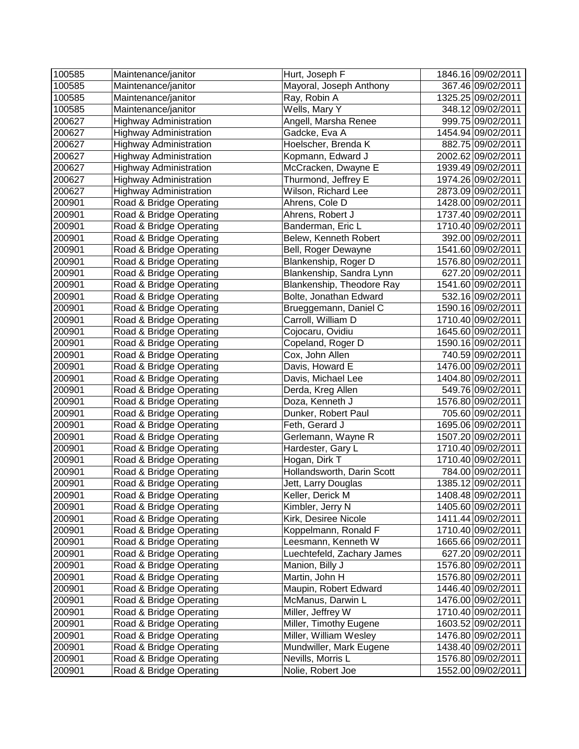| 100585 | Maintenance/janitor           | Hurt, Joseph F             | 1846.16 09/02/2011 |
|--------|-------------------------------|----------------------------|--------------------|
| 100585 | Maintenance/janitor           | Mayoral, Joseph Anthony    | 367.46 09/02/2011  |
| 100585 | Maintenance/janitor           | Ray, Robin A               | 1325.25 09/02/2011 |
| 100585 | Maintenance/janitor           | Wells, Mary Y              | 348.12 09/02/2011  |
| 200627 | <b>Highway Administration</b> | Angell, Marsha Renee       | 999.75 09/02/2011  |
| 200627 | <b>Highway Administration</b> | Gadcke, Eva A              | 1454.94 09/02/2011 |
| 200627 | <b>Highway Administration</b> | Hoelscher, Brenda K        | 882.75 09/02/2011  |
| 200627 | <b>Highway Administration</b> | Kopmann, Edward J          | 2002.62 09/02/2011 |
| 200627 | <b>Highway Administration</b> | McCracken, Dwayne E        | 1939.49 09/02/2011 |
| 200627 | <b>Highway Administration</b> | Thurmond, Jeffrey E        | 1974.26 09/02/2011 |
| 200627 | <b>Highway Administration</b> | Wilson, Richard Lee        | 2873.09 09/02/2011 |
| 200901 | Road & Bridge Operating       | Ahrens, Cole D             | 1428.00 09/02/2011 |
| 200901 | Road & Bridge Operating       | Ahrens, Robert J           | 1737.40 09/02/2011 |
| 200901 | Road & Bridge Operating       | Banderman, Eric L          | 1710.40 09/02/2011 |
| 200901 | Road & Bridge Operating       | Belew, Kenneth Robert      | 392.00 09/02/2011  |
| 200901 | Road & Bridge Operating       | Bell, Roger Dewayne        | 1541.60 09/02/2011 |
| 200901 | Road & Bridge Operating       | Blankenship, Roger D       | 1576.80 09/02/2011 |
| 200901 | Road & Bridge Operating       | Blankenship, Sandra Lynn   | 627.20 09/02/2011  |
| 200901 | Road & Bridge Operating       | Blankenship, Theodore Ray  | 1541.60 09/02/2011 |
| 200901 | Road & Bridge Operating       | Bolte, Jonathan Edward     | 532.16 09/02/2011  |
| 200901 | Road & Bridge Operating       | Brueggemann, Daniel C      | 1590.16 09/02/2011 |
| 200901 | Road & Bridge Operating       | Carroll, William D         | 1710.40 09/02/2011 |
| 200901 | Road & Bridge Operating       | Cojocaru, Ovidiu           | 1645.60 09/02/2011 |
| 200901 | Road & Bridge Operating       | Copeland, Roger D          | 1590.16 09/02/2011 |
| 200901 | Road & Bridge Operating       | Cox, John Allen            | 740.59 09/02/2011  |
| 200901 | Road & Bridge Operating       | Davis, Howard E            | 1476.00 09/02/2011 |
| 200901 | Road & Bridge Operating       | Davis, Michael Lee         | 1404.80 09/02/2011 |
| 200901 | Road & Bridge Operating       | Derda, Kreg Allen          | 549.76 09/02/2011  |
| 200901 | Road & Bridge Operating       | Doza, Kenneth J            | 1576.80 09/02/2011 |
| 200901 | Road & Bridge Operating       | Dunker, Robert Paul        | 705.60 09/02/2011  |
| 200901 | Road & Bridge Operating       | Feth, Gerard J             | 1695.06 09/02/2011 |
| 200901 | Road & Bridge Operating       | Gerlemann, Wayne R         | 1507.20 09/02/2011 |
| 200901 | Road & Bridge Operating       | Hardester, Gary L          | 1710.40 09/02/2011 |
| 200901 | Road & Bridge Operating       | Hogan, Dirk T              | 1710.40 09/02/2011 |
| 200901 | Road & Bridge Operating       | Hollandsworth, Darin Scott | 784.00 09/02/2011  |
| 200901 | Road & Bridge Operating       | Jett, Larry Douglas        | 1385.12 09/02/2011 |
| 200901 | Road & Bridge Operating       | Keller, Derick M           | 1408.48 09/02/2011 |
| 200901 | Road & Bridge Operating       | Kimbler, Jerry N           | 1405.60 09/02/2011 |
| 200901 | Road & Bridge Operating       | Kirk, Desiree Nicole       | 1411.44 09/02/2011 |
| 200901 | Road & Bridge Operating       | Koppelmann, Ronald F       | 1710.40 09/02/2011 |
| 200901 | Road & Bridge Operating       | Leesmann, Kenneth W        | 1665.66 09/02/2011 |
| 200901 | Road & Bridge Operating       | Luechtefeld, Zachary James | 627.20 09/02/2011  |
| 200901 | Road & Bridge Operating       | Manion, Billy J            | 1576.80 09/02/2011 |
| 200901 | Road & Bridge Operating       | Martin, John H             | 1576.80 09/02/2011 |
| 200901 | Road & Bridge Operating       | Maupin, Robert Edward      | 1446.40 09/02/2011 |
| 200901 | Road & Bridge Operating       | McManus, Darwin L          | 1476.00 09/02/2011 |
| 200901 | Road & Bridge Operating       | Miller, Jeffrey W          | 1710.40 09/02/2011 |
| 200901 | Road & Bridge Operating       | Miller, Timothy Eugene     | 1603.52 09/02/2011 |
| 200901 | Road & Bridge Operating       | Miller, William Wesley     | 1476.80 09/02/2011 |
| 200901 | Road & Bridge Operating       | Mundwiller, Mark Eugene    | 1438.40 09/02/2011 |
| 200901 | Road & Bridge Operating       | Nevills, Morris L          | 1576.80 09/02/2011 |
| 200901 | Road & Bridge Operating       | Nolie, Robert Joe          | 1552.00 09/02/2011 |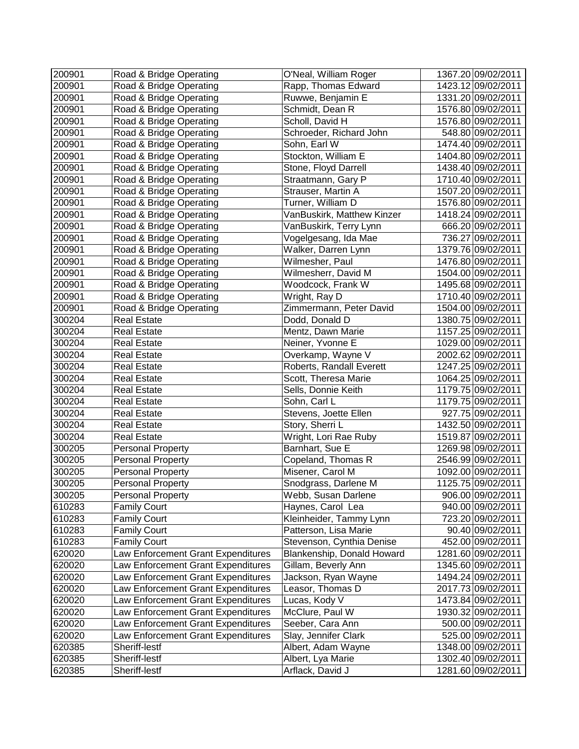| 200901 | Road & Bridge Operating            | O'Neal, William Roger      | 1367.20 09/02/2011 |
|--------|------------------------------------|----------------------------|--------------------|
| 200901 | Road & Bridge Operating            | Rapp, Thomas Edward        | 1423.12 09/02/2011 |
| 200901 | Road & Bridge Operating            | Ruwwe, Benjamin E          | 1331.20 09/02/2011 |
| 200901 | Road & Bridge Operating            | Schmidt, Dean R            | 1576.80 09/02/2011 |
| 200901 | Road & Bridge Operating            | Scholl, David H            | 1576.80 09/02/2011 |
| 200901 | Road & Bridge Operating            | Schroeder, Richard John    | 548.80 09/02/2011  |
| 200901 | Road & Bridge Operating            | Sohn, Earl W               | 1474.40 09/02/2011 |
| 200901 | Road & Bridge Operating            | Stockton, William E        | 1404.80 09/02/2011 |
| 200901 | Road & Bridge Operating            | Stone, Floyd Darrell       | 1438.40 09/02/2011 |
| 200901 | Road & Bridge Operating            | Straatmann, Gary P         | 1710.40 09/02/2011 |
| 200901 | Road & Bridge Operating            | Strauser, Martin A         | 1507.20 09/02/2011 |
| 200901 | Road & Bridge Operating            | Turner, William D          | 1576.80 09/02/2011 |
| 200901 | Road & Bridge Operating            | VanBuskirk, Matthew Kinzer | 1418.24 09/02/2011 |
| 200901 | Road & Bridge Operating            | VanBuskirk, Terry Lynn     | 666.20 09/02/2011  |
| 200901 | Road & Bridge Operating            | Vogelgesang, Ida Mae       | 736.27 09/02/2011  |
| 200901 | Road & Bridge Operating            | Walker, Darren Lynn        | 1379.76 09/02/2011 |
| 200901 | Road & Bridge Operating            | Wilmesher, Paul            | 1476.80 09/02/2011 |
| 200901 | Road & Bridge Operating            | Wilmesherr, David M        | 1504.00 09/02/2011 |
| 200901 | Road & Bridge Operating            | Woodcock, Frank W          | 1495.68 09/02/2011 |
| 200901 | Road & Bridge Operating            | Wright, Ray D              | 1710.40 09/02/2011 |
| 200901 | Road & Bridge Operating            | Zimmermann, Peter David    | 1504.00 09/02/2011 |
| 300204 | <b>Real Estate</b>                 | Dodd, Donald D             | 1380.75 09/02/2011 |
| 300204 | <b>Real Estate</b>                 | Mentz, Dawn Marie          | 1157.25 09/02/2011 |
| 300204 | <b>Real Estate</b>                 | Neiner, Yvonne E           | 1029.00 09/02/2011 |
| 300204 | <b>Real Estate</b>                 | Overkamp, Wayne V          | 2002.62 09/02/2011 |
| 300204 | <b>Real Estate</b>                 | Roberts, Randall Everett   | 1247.25 09/02/2011 |
| 300204 | <b>Real Estate</b>                 | Scott, Theresa Marie       | 1064.25 09/02/2011 |
| 300204 | <b>Real Estate</b>                 | Sells, Donnie Keith        | 1179.75 09/02/2011 |
| 300204 | <b>Real Estate</b>                 | Sohn, Carl L               | 1179.75 09/02/2011 |
| 300204 | <b>Real Estate</b>                 | Stevens, Joette Ellen      | 927.75 09/02/2011  |
| 300204 | <b>Real Estate</b>                 | Story, Sherri L            | 1432.50 09/02/2011 |
| 300204 | <b>Real Estate</b>                 | Wright, Lori Rae Ruby      | 1519.87 09/02/2011 |
| 300205 | <b>Personal Property</b>           | Barnhart, Sue E            | 1269.98 09/02/2011 |
| 300205 | <b>Personal Property</b>           | Copeland, Thomas R         | 2546.99 09/02/2011 |
| 300205 | <b>Personal Property</b>           | Misener, Carol M           | 1092.00 09/02/2011 |
| 300205 | <b>Personal Property</b>           | Snodgrass, Darlene M       | 1125.75 09/02/2011 |
| 300205 | <b>Personal Property</b>           | Webb, Susan Darlene        | 906.00 09/02/2011  |
| 610283 | <b>Family Court</b>                | Haynes, Carol Lea          | 940.00 09/02/2011  |
| 610283 | <b>Family Court</b>                | Kleinheider, Tammy Lynn    | 723.20 09/02/2011  |
| 610283 | <b>Family Court</b>                | Patterson, Lisa Marie      | 90.40 09/02/2011   |
| 610283 | <b>Family Court</b>                | Stevenson, Cynthia Denise  | 452.00 09/02/2011  |
| 620020 | Law Enforcement Grant Expenditures | Blankenship, Donald Howard | 1281.60 09/02/2011 |
| 620020 | Law Enforcement Grant Expenditures | Gillam, Beverly Ann        | 1345.60 09/02/2011 |
| 620020 | Law Enforcement Grant Expenditures | Jackson, Ryan Wayne        | 1494.24 09/02/2011 |
| 620020 | Law Enforcement Grant Expenditures | Leasor, Thomas D           | 2017.73 09/02/2011 |
| 620020 | Law Enforcement Grant Expenditures | Lucas, Kody V              | 1473.84 09/02/2011 |
| 620020 | Law Enforcement Grant Expenditures | McClure, Paul W            | 1930.32 09/02/2011 |
| 620020 | Law Enforcement Grant Expenditures | Seeber, Cara Ann           | 500.00 09/02/2011  |
| 620020 | Law Enforcement Grant Expenditures | Slay, Jennifer Clark       | 525.00 09/02/2011  |
| 620385 | Sheriff-lestf                      | Albert, Adam Wayne         | 1348.00 09/02/2011 |
| 620385 | Sheriff-lestf                      | Albert, Lya Marie          | 1302.40 09/02/2011 |
| 620385 | Sheriff-lestf                      | Arflack, David J           | 1281.60 09/02/2011 |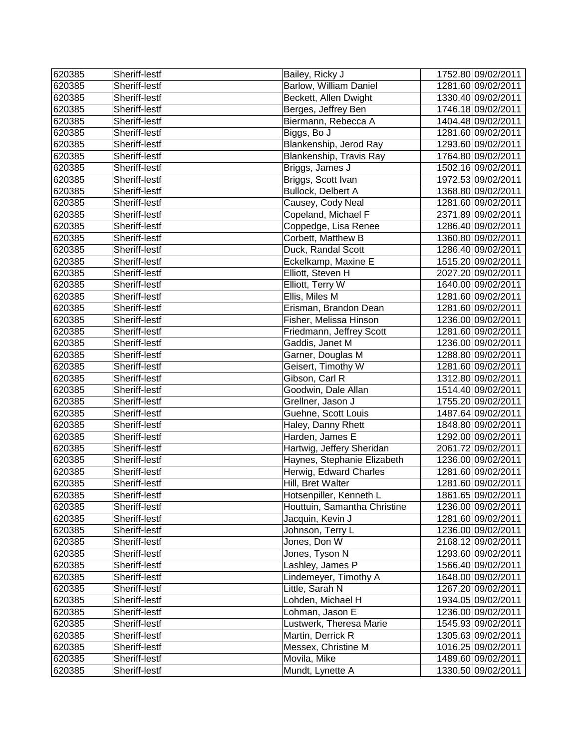| 620385 | Sheriff-lestf | Bailey, Ricky J              | 1752.80 09/02/2011 |
|--------|---------------|------------------------------|--------------------|
| 620385 | Sheriff-lestf | Barlow, William Daniel       | 1281.60 09/02/2011 |
| 620385 | Sheriff-lestf | Beckett, Allen Dwight        | 1330.40 09/02/2011 |
| 620385 | Sheriff-lestf | Berges, Jeffrey Ben          | 1746.18 09/02/2011 |
| 620385 | Sheriff-lestf | Biermann, Rebecca A          | 1404.48 09/02/2011 |
| 620385 | Sheriff-lestf | Biggs, Bo J                  | 1281.60 09/02/2011 |
| 620385 | Sheriff-lestf | Blankenship, Jerod Ray       | 1293.60 09/02/2011 |
| 620385 | Sheriff-lestf | Blankenship, Travis Ray      | 1764.80 09/02/2011 |
| 620385 | Sheriff-lestf | Briggs, James J              | 1502.16 09/02/2011 |
| 620385 | Sheriff-lestf | Briggs, Scott Ivan           | 1972.53 09/02/2011 |
| 620385 | Sheriff-lestf | Bullock, Delbert A           | 1368.80 09/02/2011 |
| 620385 | Sheriff-lestf | Causey, Cody Neal            | 1281.60 09/02/2011 |
| 620385 | Sheriff-lestf | Copeland, Michael F          | 2371.89 09/02/2011 |
| 620385 | Sheriff-lestf | Coppedge, Lisa Renee         | 1286.40 09/02/2011 |
| 620385 | Sheriff-lestf | Corbett, Matthew B           | 1360.80 09/02/2011 |
| 620385 | Sheriff-lestf | Duck, Randal Scott           | 1286.40 09/02/2011 |
| 620385 | Sheriff-lestf | Eckelkamp, Maxine E          | 1515.20 09/02/2011 |
| 620385 | Sheriff-lestf | Elliott, Steven H            | 2027.20 09/02/2011 |
| 620385 | Sheriff-lestf | Elliott, Terry W             | 1640.00 09/02/2011 |
| 620385 | Sheriff-lestf | Ellis, Miles M               | 1281.60 09/02/2011 |
| 620385 | Sheriff-lestf | Erisman, Brandon Dean        | 1281.60 09/02/2011 |
| 620385 | Sheriff-lestf | Fisher, Melissa Hinson       | 1236.00 09/02/2011 |
| 620385 | Sheriff-lestf | Friedmann, Jeffrey Scott     | 1281.60 09/02/2011 |
| 620385 | Sheriff-lestf | Gaddis, Janet M              | 1236.00 09/02/2011 |
| 620385 | Sheriff-lestf | Garner, Douglas M            | 1288.80 09/02/2011 |
| 620385 | Sheriff-lestf | Geisert, Timothy W           | 1281.60 09/02/2011 |
| 620385 | Sheriff-lestf | Gibson, Carl R               | 1312.80 09/02/2011 |
| 620385 | Sheriff-lestf | Goodwin, Dale Allan          | 1514.40 09/02/2011 |
| 620385 | Sheriff-lestf | Grellner, Jason J            | 1755.20 09/02/2011 |
| 620385 | Sheriff-lestf | Guehne, Scott Louis          | 1487.64 09/02/2011 |
| 620385 | Sheriff-lestf | Haley, Danny Rhett           | 1848.80 09/02/2011 |
| 620385 | Sheriff-lestf | Harden, James E              | 1292.00 09/02/2011 |
| 620385 | Sheriff-lestf | Hartwig, Jeffery Sheridan    | 2061.72 09/02/2011 |
| 620385 | Sheriff-lestf | Haynes, Stephanie Elizabeth  | 1236.00 09/02/2011 |
| 620385 | Sheriff-lestf | Herwig, Edward Charles       | 1281.60 09/02/2011 |
| 620385 | Sheriff-lestf | Hill, Bret Walter            | 1281.60 09/02/2011 |
| 620385 | Sheriff-lestf | Hotsenpiller, Kenneth L      | 1861.65 09/02/2011 |
| 620385 | Sheriff-lestf | Houttuin, Samantha Christine | 1236.00 09/02/2011 |
| 620385 | Sheriff-lestf | Jacquin, Kevin J             | 1281.60 09/02/2011 |
| 620385 | Sheriff-lestf | Johnson, Terry L             | 1236.00 09/02/2011 |
| 620385 | Sheriff-lestf | Jones, Don W                 | 2168.12 09/02/2011 |
| 620385 | Sheriff-lestf | Jones, Tyson N               | 1293.60 09/02/2011 |
| 620385 | Sheriff-lestf | Lashley, James P             | 1566.40 09/02/2011 |
| 620385 | Sheriff-lestf | Lindemeyer, Timothy A        | 1648.00 09/02/2011 |
| 620385 | Sheriff-lestf | Little, Sarah N              | 1267.20 09/02/2011 |
| 620385 | Sheriff-lestf | Lohden, Michael H            | 1934.05 09/02/2011 |
| 620385 | Sheriff-lestf | Lohman, Jason E              | 1236.00 09/02/2011 |
| 620385 | Sheriff-lestf | Lustwerk, Theresa Marie      | 1545.93 09/02/2011 |
| 620385 | Sheriff-lestf | Martin, Derrick R            | 1305.63 09/02/2011 |
| 620385 | Sheriff-lestf | Messex, Christine M          | 1016.25 09/02/2011 |
| 620385 | Sheriff-lestf | Movila, Mike                 | 1489.60 09/02/2011 |
| 620385 | Sheriff-lestf | Mundt, Lynette A             | 1330.50 09/02/2011 |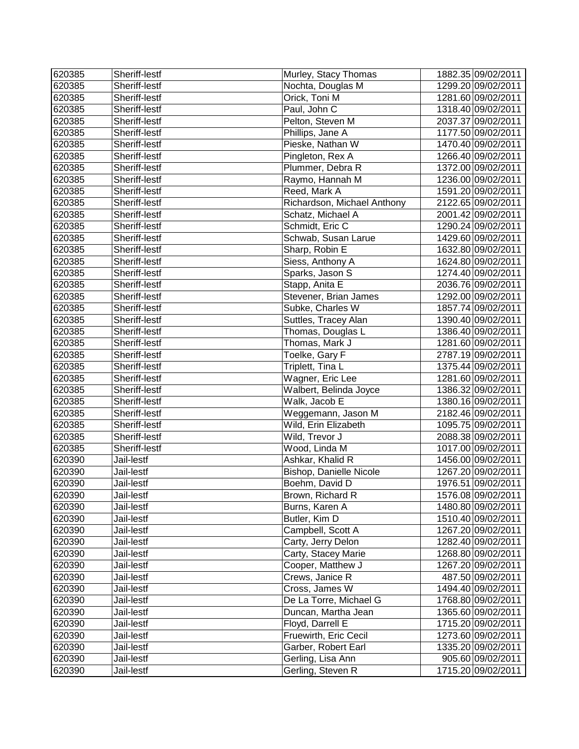| 620385 | Sheriff-lestf | Murley, Stacy Thomas        | 1882.35 09/02/2011 |
|--------|---------------|-----------------------------|--------------------|
| 620385 | Sheriff-lestf | Nochta, Douglas M           | 1299.20 09/02/2011 |
| 620385 | Sheriff-lestf | Orick, Toni M               | 1281.60 09/02/2011 |
| 620385 | Sheriff-lestf | Paul, John C                | 1318.40 09/02/2011 |
| 620385 | Sheriff-lestf | Pelton, Steven M            | 2037.37 09/02/2011 |
| 620385 | Sheriff-lestf | Phillips, Jane A            | 1177.50 09/02/2011 |
| 620385 | Sheriff-lestf | Pieske, Nathan W            | 1470.40 09/02/2011 |
| 620385 | Sheriff-lestf | Pingleton, Rex A            | 1266.40 09/02/2011 |
| 620385 | Sheriff-lestf | Plummer, Debra R            | 1372.00 09/02/2011 |
| 620385 | Sheriff-lestf | Raymo, Hannah M             | 1236.00 09/02/2011 |
| 620385 | Sheriff-lestf | Reed, Mark A                | 1591.20 09/02/2011 |
| 620385 | Sheriff-lestf | Richardson, Michael Anthony | 2122.65 09/02/2011 |
| 620385 | Sheriff-lestf | Schatz, Michael A           | 2001.42 09/02/2011 |
| 620385 | Sheriff-lestf | Schmidt, Eric C             | 1290.24 09/02/2011 |
| 620385 | Sheriff-lestf | Schwab, Susan Larue         | 1429.60 09/02/2011 |
| 620385 | Sheriff-lestf | Sharp, Robin E              | 1632.80 09/02/2011 |
| 620385 | Sheriff-lestf | Siess, Anthony A            | 1624.80 09/02/2011 |
| 620385 | Sheriff-lestf | Sparks, Jason S             | 1274.40 09/02/2011 |
| 620385 | Sheriff-lestf | Stapp, Anita E              | 2036.76 09/02/2011 |
| 620385 | Sheriff-lestf | Stevener, Brian James       | 1292.00 09/02/2011 |
| 620385 | Sheriff-lestf | Subke, Charles W            | 1857.74 09/02/2011 |
| 620385 | Sheriff-lestf | Suttles, Tracey Alan        | 1390.40 09/02/2011 |
| 620385 | Sheriff-lestf | Thomas, Douglas L           | 1386.40 09/02/2011 |
| 620385 | Sheriff-lestf | Thomas, Mark J              | 1281.60 09/02/2011 |
| 620385 | Sheriff-lestf | Toelke, Gary F              | 2787.19 09/02/2011 |
| 620385 | Sheriff-lestf | Triplett, Tina L            | 1375.44 09/02/2011 |
| 620385 | Sheriff-lestf | Wagner, Eric Lee            | 1281.60 09/02/2011 |
| 620385 | Sheriff-lestf | Walbert, Belinda Joyce      | 1386.32 09/02/2011 |
| 620385 | Sheriff-lestf | Walk, Jacob E               | 1380.16 09/02/2011 |
| 620385 | Sheriff-lestf | Weggemann, Jason M          | 2182.46 09/02/2011 |
| 620385 | Sheriff-lestf | Wild, Erin Elizabeth        | 1095.75 09/02/2011 |
| 620385 | Sheriff-lestf | Wild, Trevor J              | 2088.38 09/02/2011 |
| 620385 | Sheriff-lestf | Wood, Linda M               | 1017.00 09/02/2011 |
| 620390 | Jail-lestf    | Ashkar, Khalid R            | 1456.00 09/02/2011 |
| 620390 | Jail-lestf    | Bishop, Danielle Nicole     | 1267.20 09/02/2011 |
| 620390 | Jail-lestf    | Boehm, David D              | 1976.51 09/02/2011 |
| 620390 | Jail-lestf    | Brown, Richard R            | 1576.08 09/02/2011 |
| 620390 | Jail-lestf    | Burns, Karen A              | 1480.80 09/02/2011 |
| 620390 | Jail-lestf    | Butler, Kim D               | 1510.40 09/02/2011 |
| 620390 | Jail-lestf    | Campbell, Scott A           | 1267.20 09/02/2011 |
| 620390 | Jail-lestf    | Carty, Jerry Delon          | 1282.40 09/02/2011 |
| 620390 | Jail-lestf    | Carty, Stacey Marie         | 1268.80 09/02/2011 |
| 620390 | Jail-lestf    | Cooper, Matthew J           | 1267.20 09/02/2011 |
| 620390 | Jail-lestf    | Crews, Janice R             | 487.50 09/02/2011  |
| 620390 | Jail-lestf    | Cross, James W              | 1494.40 09/02/2011 |
| 620390 | Jail-lestf    | De La Torre, Michael G      | 1768.80 09/02/2011 |
| 620390 | Jail-lestf    | Duncan, Martha Jean         | 1365.60 09/02/2011 |
| 620390 | Jail-lestf    | Floyd, Darrell E            | 1715.20 09/02/2011 |
| 620390 | Jail-lestf    | Fruewirth, Eric Cecil       | 1273.60 09/02/2011 |
| 620390 | Jail-lestf    | Garber, Robert Earl         | 1335.20 09/02/2011 |
| 620390 | Jail-lestf    | Gerling, Lisa Ann           | 905.60 09/02/2011  |
| 620390 | Jail-lestf    | Gerling, Steven R           | 1715.20 09/02/2011 |